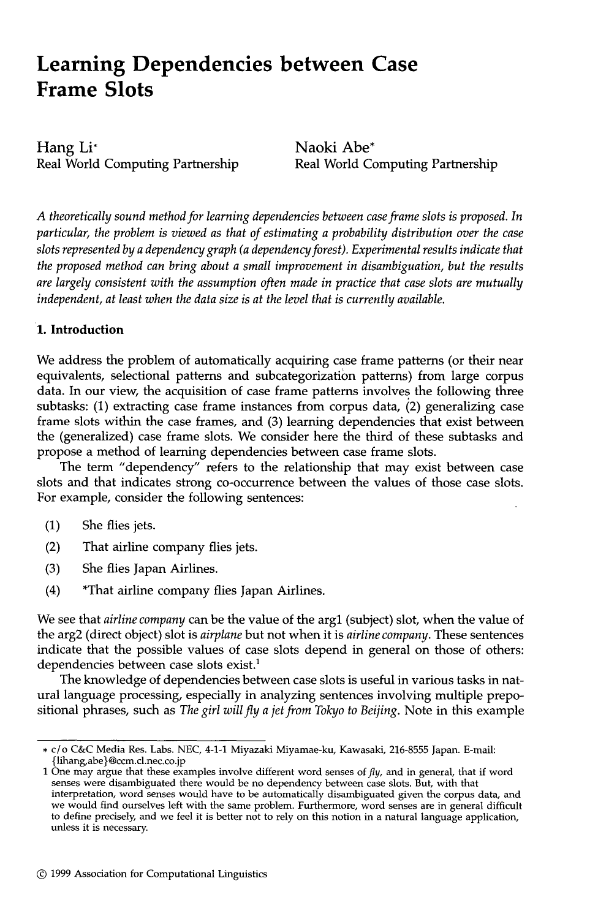# **Learning Dependencies between Case Frame Slots**

Hang Li\* Real World Computing Partnership

Naoki Abe\* Real World Computing Partnership

*A theoretically sound method for learning dependencies between case frame slots is proposed. In particular, the problem is viewed as that of estimating a probability distribution over the case slots represented by a dependency graph (a dependency forest). Experimental results indicate that the proposed method can bring about a small improvement in disambiguation, but the results are largely consistent with the assumption often made in practice that case slots are mutually independent, at least when the data size is at the level that is currently available.* 

## **1. Introduction**

We address the problem of automatically acquiring case frame patterns (or their near equivalents, selectional patterns and subcategorization patterns) from large corpus data. In our view, the acquisition of case frame patterns involves the following three subtasks:  $(1)$  extracting case frame instances from corpus data,  $(2)$  generalizing case frame slots within the case frames, and (3) learning dependencies that exist between the (generalized) case frame slots. We consider here the third of these subtasks and propose a method of learning dependencies between case frame slots.

The term "dependency" refers to the relationship that may exist between case slots and that indicates strong co-occurrence between the values of those case slots. For example, consider the following sentences:

- (1) She flies jets.
- (2) That airline company flies jets.
- (3) She flies Japan Airlines.
- (4) \*That airline company flies Japan Airlines.

We see that *airline company* can be the value of the argl (subject) slot, when the value of the arg2 (direct object) slot is *airplane* but not when it is *airline company.* These sentences indicate that the possible values of case slots depend in general on those of others: dependencies between case slots exist.<sup>1</sup>

The knowledge of dependencies between case slots is useful in various tasks in natural language processing, especially in analyzing sentences involving multiple prepositional phrases, such as *The girl will fly a jet from Tokyo to Beijing.* Note in this example

<sup>\*</sup> c/o C&C Media Res. Labs. NEC, 4-1-1 Miyazaki Miyamae-ku, Kawasaki, 216-8555 Japan. E-mail: {lihang, abe}@ccm.d.nec.co.jp

<sup>1</sup> One may argue that these examples involve different word senses of  $fly$ , and in general, that if word senses were disambiguated there would be no dependency between case slots. But, with that interpretation, word senses would have to be automatically disambiguated given the corpus data, and we would find ourselves left with the same problem. Furthermore, word senses are in general difficult to define precisely, and we feel it is better not to rely on this notion in a natural language application, unless it is necessary.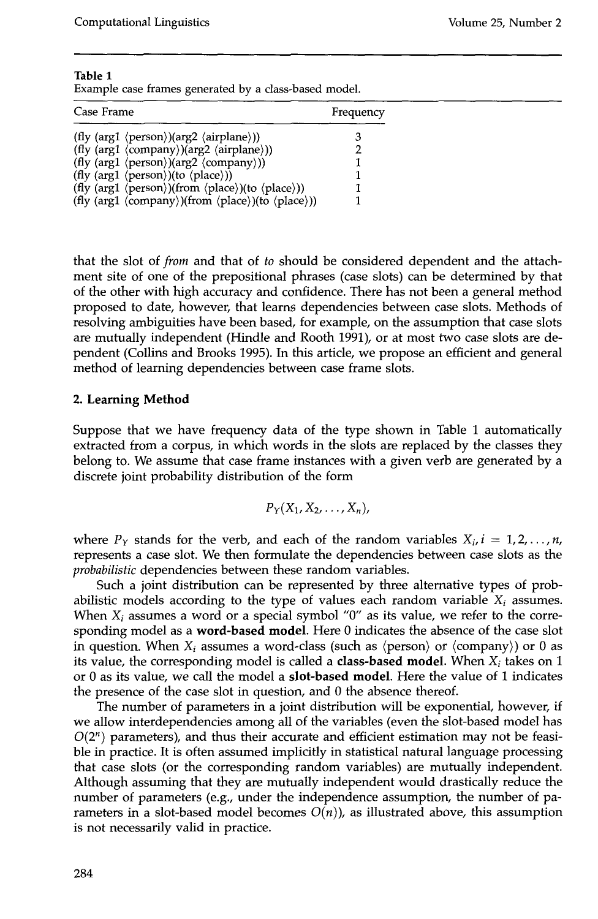| Table 1 |  |                                                       |  |
|---------|--|-------------------------------------------------------|--|
|         |  | Example case frames generated by a class-based model. |  |

| Case Frame                                                                                                              | Frequency |  |
|-------------------------------------------------------------------------------------------------------------------------|-----------|--|
| (fly (arg1 $\langle person \rangle$ )(arg2 $\langle airplane \rangle$ ))                                                |           |  |
| (fly (arg1 $\langle$ company $\rangle$ )(arg2 $\langle$ airplane $\rangle$ ))                                           |           |  |
| (fly (arg1 $\langle$ person $\rangle$ )(arg2 $\langle$ company $\rangle$ ))                                             |           |  |
| (fly (arg1 $\langle person \rangle$ )(to $\langle place \rangle$ ))                                                     |           |  |
| (fly (arg1 $\langle \text{person} \rangle$ )(from $\langle \text{place} \rangle$ )(to $\langle \text{place} \rangle$ )) |           |  |
| (fly (arg1 $\langle$ company $\rangle$ )(from $\langle$ place $\rangle$ )(to $\langle$ place $\rangle$ ))               |           |  |

that the slot of *from* and that of *to* should be considered dependent and the attachment site of one of the prepositional phrases (case slots) can be determined by that of the other with high accuracy and confidence. There has not been a general method proposed to date, however, that learns dependencies between case slots. Methods of resolving ambiguities have been based, for example, on the assumption that case slots are mutually independent (Hindle and Rooth 1991), or at most two case slots are dependent (Collins and Brooks 1995). In this article, we propose an efficient and general method of learning dependencies between case frame slots.

## **2. Learning Method**

Suppose that we have frequency data of the type shown in Table 1 automatically extracted from a corpus, in which words in the slots are replaced by the classes they belong to. We assume that case frame instances with a given verb are generated by a discrete joint probability distribution of the form

$$
P_Y(X_1,X_2,\ldots,X_n),
$$

where  $P_Y$  stands for the verb, and each of the random variables  $X_i$ ,  $i = 1, 2, \ldots, n$ , represents a case slot. We then formulate the dependencies between case slots as the *probabilistic* dependencies between these random variables.

Such a joint distribution can be represented by three alternative types of probabilistic models according to the type of values each random variable  $X_i$  assumes. When  $X_i$  assumes a word or a special symbol "0" as its value, we refer to the corresponding model as a word-based model. Here 0 indicates the absence of the case slot in question. When  $X_i$  assumes a word-class (such as  $\langle \text{person} \rangle$  or  $\langle \text{company} \rangle$ ) or 0 as its value, the corresponding model is called a **class-based model**. When  $X_i$  takes on 1 or 0 as its value, we call the model a slot-based model. Here the value of 1 indicates the presence of the case slot in question, and 0 the absence thereof.

The number of parameters in a joint distribution will be exponential, however, if we allow interdependencies among all of the variables (even the slot-based model has  $O(2^n)$  parameters), and thus their accurate and efficient estimation may not be feasible in practice. It is often assumed implicitly in statistical natural language processing that case slots (or the corresponding random variables) are mutually independent. Although assuming that they are mutually independent would drastically reduce the number of parameters (e.g., under the independence assumption, the number of parameters in a slot-based model becomes  $O(n)$ ), as illustrated above, this assumption is not necessarily valid in practice.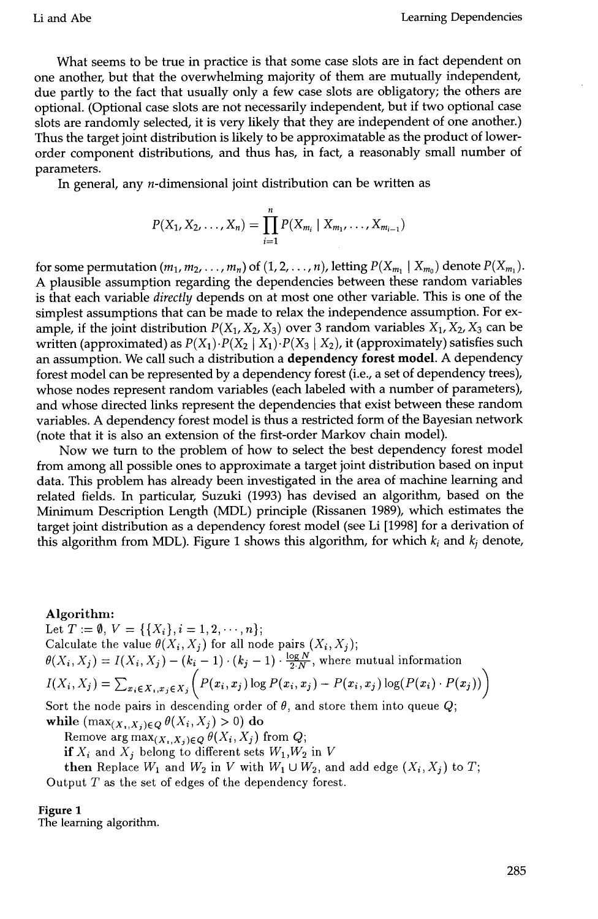What seems to be true in practice is that some case slots are in fact dependent on one another, but that the overwhelming majority of them are mutually independent, due partly to the fact that usually only a few case slots are obligatory; the others are optional. (Optional case slots are not necessarily independent, but if two optional case slots are randomly selected, it is very likely that they are independent of one another.) Thus the target joint distribution is likely to be approximatable as the product of lowerorder component distributions, and thus has, in fact, a reasonably small number of parameters.

In general, any  $n$ -dimensional joint distribution can be written as

$$
P(X_1, X_2, \ldots, X_n) = \prod_{i=1}^n P(X_{m_i} | X_{m_1}, \ldots, X_{m_{i-1}})
$$

for some permutation  $(m_1, m_2, \ldots, m_n)$  of  $(1, 2, \ldots, n)$ , letting  $P(X_{m_1} \mid X_{m_0})$  denote  $P(X_{m_1})$ . A plausible assumption regarding the dependencies between these random variables is that each variable *directly* depends on at most one other variable. This is one of the simplest assumptions that can be made to relax the independence assumption. For example, if the joint distribution  $P(X_1, X_2, X_3)$  over 3 random variables  $X_1, X_2, X_3$  can be written (approximated) as  $P(X_1) \cdot P(X_2 | X_1) \cdot P(X_3 | X_2)$ , it (approximately) satisfies such an assumption. We call such a distribution a dependency forest model. A dependency forest model can be represented by a dependency forest (i.e., a set of dependency trees), whose nodes represent random variables (each labeled with a number of parameters), and whose directed links represent the dependencies that exist between these random variables. A dependency forest model is thus a restricted form of the Bayesian network (note that it is also an extension of the first-order Markov chain model).

Now we turn to the problem of how to select the best dependency forest model from among all possible ones to approximate a target joint distribution based on input data. This problem has already been investigated in the area of machine learning and related fields. In particular, Suzuki (1993) has devised an algorithm, based on the Minimum Description Length (MDL) principle (Rissanen 1989), which estimates the target joint distribution as a dependency forest model (see Li [1998] for a derivation of this algorithm from MDL). Figure 1 shows this algorithm, for which  $k_i$  and  $k_j$  denote,

#### Algorithm:

Let  $T := \emptyset$ ,  $V = \{\{X_i\}, i = 1, 2, \dots, n\};$ Calculate the value  $\theta(X_i, X_j)$  for all node pairs  $(X_i, X_j)$ ;  $\theta(X_i, X_j) = I(X_i, X_j) - (k_i - 1) \cdot (k_j - 1) \cdot \frac{\log N}{2 \cdot N}$ , where mutual information  $I(X_i, X_j) = \sum_{x_i \in X_j} f(x_i, x_j) \cdot P(x_i, x_j) \log P(x_i, x_j) - P(x_i, x_j) \log (P(x_i) \cdot P(x_j))$ 

Sort the node pairs in descending order of  $\theta$ , and store them into queue  $Q$ ; while  $(\max_{(X_i,X_j)\in Q} \theta(X_i,X_j) > 0)$  do

Remove  $\arg \max_{(X_i, X_j) \in Q} \theta(X_i, X_j)$  from  $Q$ ;

*if*  $X_i$  and  $X_j$  belong to different sets  $W_1, W_2$  in V

then Replace  $W_1$  and  $W_2$  in V with  $W_1 \cup W_2$ , and add edge  $(X_i, X_j)$  to T; Output T as the set of edges of the dependency forest.

#### **Figure 1**

The learning algorithm.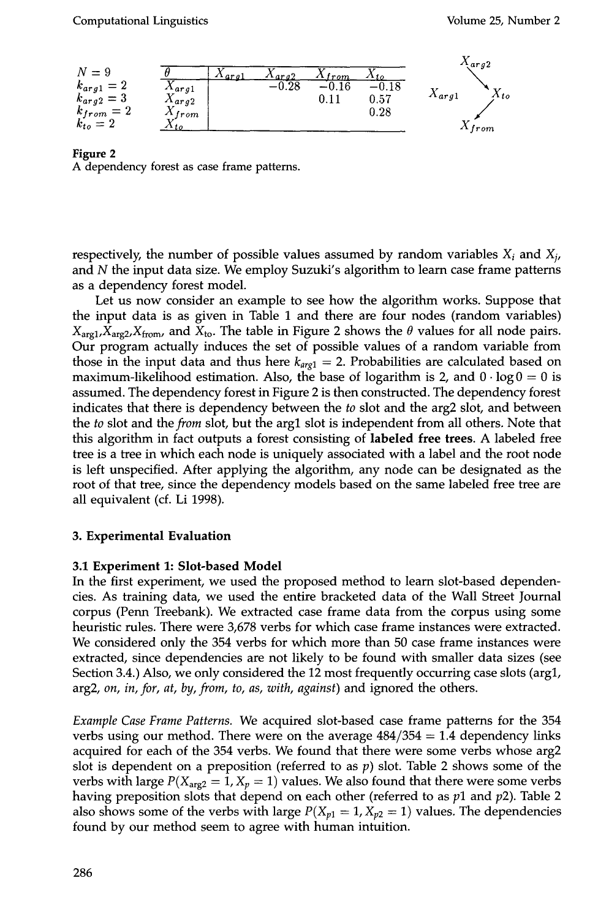

#### **Figure 2**

A dependency forest as case frame patterns.

respectively, the number of possible values assumed by random variables  $X_i$  and  $X_i$ , and N the input data size. We employ Suzuki's algorithm to learn case frame patterns as a dependency forest model.

Let us now consider an example to see how the algorithm works. Suppose that the input data is as given in Table 1 and there are four nodes (random variables)  $X_{\text{are1}}$ ,  $X_{\text{are2}}$ ,  $X_{\text{from}}$ , and  $X_{\text{to}}$ . The table in Figure 2 shows the  $\theta$  values for all node pairs. Our program actually induces the set of possible values of a random variable from those in the input data and thus here  $k_{arg1} = 2$ . Probabilities are calculated based on maximum-likelihood estimation. Also, the base of logarithm is 2, and  $0 \cdot \log 0 = 0$  is assumed. The dependency forest in Figure 2 is then constructed. The dependency forest indicates that there is dependency between the *to* slot and the arg2 slot, and between the *to* slot and *the from* slot, but the argl slot is independent from all others. Note that this algorithm in fact outputs a forest consisting of **labeled free trees.** A labeled free tree is a tree in which each node is uniquely associated with a label and the root node is left unspecified. After applying the algorithm, any node can be designated as the root of that tree, since the dependency models based on the same labeled free tree are all equivalent (cf. Li 1998).

#### **3. Experimental Evaluation**

#### **3.1 Experiment 1: Slot-based Model**

In the first experiment, we used the proposed method to learn slot-based dependencies. As training data, we used the entire bracketed data of the Wall Street Journal corpus (Penn Treebank). We extracted case frame data from the corpus using some heuristic rules. There were 3,678 verbs for which case frame instances were extracted. We considered only the 354 verbs for which more than 50 case frame instances were extracted, since dependencies are not likely to be found with smaller data sizes (see Section 3.4.) Also, we only considered the 12 most frequently occurring case slots (argl, arg2, *on, in, for, at, by, from, to, as, with, against)* and ignored the others.

*Example Case Frame Patterns.* We acquired slot-based case frame patterns for the 354 verbs using our method. There were on the average  $484/354 = 1.4$  dependency links acquired for each of the 354 verbs. We found that there were some verbs whose arg2 slot is dependent on a preposition (referred to as  $p$ ) slot. Table 2 shows some of the verbs with large  $P(X_{\text{arg2}} = 1, X_p = 1)$  values. We also found that there were some verbs having preposition slots that depend on each other (referred to as  $p1$  and  $p2$ ). Table 2 also shows some of the verbs with large  $P(X_{p1} = 1, X_{p2} = 1)$  values. The dependencies found by our method seem to agree with human intuition.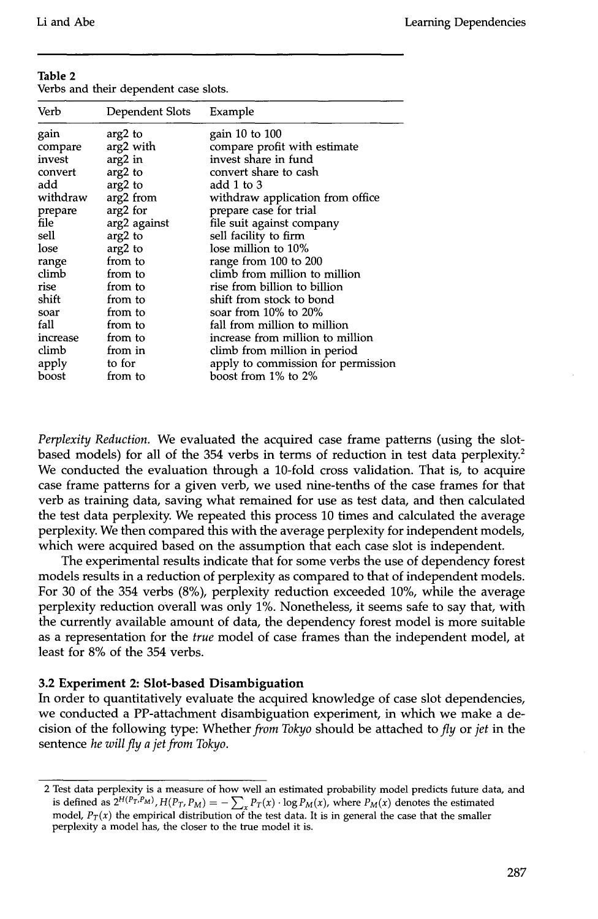**Table 2 Table 2** 

| Table 2 |  |                                       |  |
|---------|--|---------------------------------------|--|
|         |  | Verbs and their dependent case slots. |  |

| Verb     | Dependent Slots | Example                            |
|----------|-----------------|------------------------------------|
| gain     | arg2 to         | gain 10 to 100                     |
| compare  | arg2 with       | compare profit with estimate       |
| invest   | $arg2$ in       | invest share in fund               |
| convert  | arg2 to         | convert share to cash              |
| add      | arg2 to         | add 1 to 3                         |
| withdraw | arg2 from       | withdraw application from office   |
| prepare  | arg2 for        | prepare case for trial             |
| file     | arg2 against    | file suit against company          |
| sell     | arg2 to         | sell facility to firm              |
| lose     | arg2 to         | lose million to 10%                |
| range    | from to         | range from 100 to 200              |
| climb    | from to         | climb from million to million      |
| rise     | from to         | rise from billion to billion       |
| shift    | from to         | shift from stock to bond           |
| soar     | from to         | soar from $10\%$ to $20\%$         |
| fall     | from to         | fall from million to million       |
| increase | from to         | increase from million to million   |
| climb    | from in         | climb from million in period       |
| apply    | to for          | apply to commission for permission |
| boost    | from to         | boost from 1% to 2%                |

*Perplexity Reduction.* We evaluated the acquired case frame patterns (using the slotbased models) for all of the 354 verbs in terms of reduction in test data perplexity.<sup>2</sup> We conducted the evaluation through a 10-fold cross validation. That is, to acquire case frame patterns for a given verb, we used nine-tenths of the case frames for that verb as training data, saving what remained for use as test data, and then calculated the test data perplexity. We repeated this process 10 times and calculated the average perplexity. We then compared this with the average perplexity for independent models, which were acquired based on the assumption that each case slot is independent.

The experimental results indicate that for some verbs the use of dependency forest models results in a reduction of perplexity as compared to that of independent models. For 30 of the 354 verbs (8%), perplexity reduction exceeded 10%, while the average perplexity reduction overall was only 1%. Nonetheless, it seems safe to say that, with the currently available amount of data, the dependency forest model is more suitable as a representation for the *true* model of case frames than the independent model, at least for 8% of the 354 verbs.

#### **3.2 Experiment 2: Slot-based Disambiguation**

In order to quantitatively evaluate the acquired knowledge of case slot dependencies, we conducted a PP-attachment disambiguation experiment, in which we make a decision of the following type: Whether *from Tokyo* should be attached to *fly* or *jet* in the sentence *he will fly a jet from Tokyo.* 

<sup>2</sup> Test data perplexity is a measure of how well an estimated probability model predicts future data, and is defined as  $2^{H(P_T, P_M)}$ ,  $H(P_T, P_M) = -\sum_x P_T(x) \cdot \log P_M(x)$ , where  $P_M(x)$  denotes the estimated model,  $P_T(x)$  the empirical distribution of the test data. It is in general the case that the smaller perplexity a model has, the closer to the true model it is.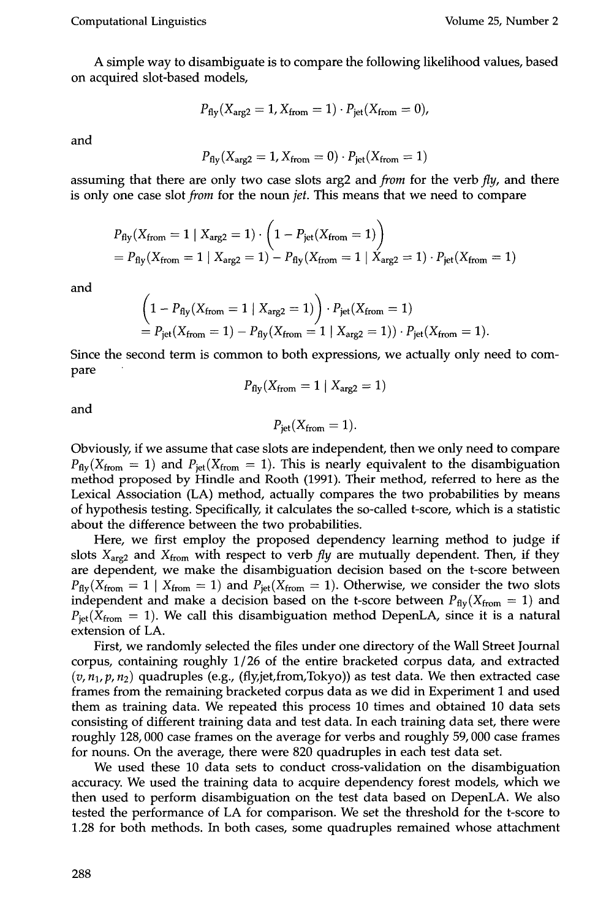A simple way to disambiguate is to compare the following likelihood values, based on acquired slot-based models,

$$
P_{\text{fly}}(X_{\text{arg2}}=1, X_{\text{from}}=1) \cdot P_{\text{jet}}(X_{\text{from}}=0),
$$

and

$$
P_{\text{fly}}(X_{\text{arg2}}=1, X_{\text{from}}=0) \cdot P_{\text{jet}}(X_{\text{from}}=1)
$$

assuming that there are only two case slots arg2 and *from* for the verb *fly,* and there is only one case slot *from* for the noun *jet.* This means that we need to compare

$$
P_{fly}(X_{from} = 1 | X_{arg2} = 1) \cdot \left(1 - P_{jet}(X_{from} = 1)\right)
$$
  
=  $P_{fly}(X_{from} = 1 | X_{arg2} = 1) - P_{fly}(X_{from} = 1 | X_{arg2} = 1) \cdot P_{jet}(X_{from} = 1)$ 

and

$$
\left(1 - P_{\text{fly}}(X_{\text{from}} = 1 \mid X_{\text{arg2}} = 1)\right) \cdot P_{\text{jet}}(X_{\text{from}} = 1) = P_{\text{jet}}(X_{\text{from}} = 1) - P_{\text{fly}}(X_{\text{from}} = 1 \mid X_{\text{arg2}} = 1)) \cdot P_{\text{jet}}(X_{\text{from}} = 1).
$$

Since the second term is common to both expressions, we actually only need to compare

$$
P_{\rm fly}(X_{\rm from} = 1 \mid X_{\rm arg2} = 1)
$$

and

$$
P_{\rm jet}(X_{\rm from}=1).
$$

Obviously, if we assume that case slots are independent, then we only need to compare  $P_{\text{fly}}(X_{\text{from}} = 1)$  and  $P_{\text{jet}}(X_{\text{from}} = 1)$ . This is nearly equivalent to the disambiguation method proposed by Hindle and Rooth (1991). Their method, referred to here as the Lexical Association (LA) method, actually compares the two probabilities by means of hypothesis testing. Specifically, it calculates the so-called t-score, which is a statistic about the difference between the two probabilities.

Here, we first employ the proposed dependency learning method to judge if slots  $X_{\text{arg2}}$  and  $X_{\text{from}}$  with respect to verb *fly* are mutually dependent. Then, if they are dependent, we make the disambiguation decision based on the t-score between  $P_{\text{fly}}(X_{\text{from}} = 1 | X_{\text{from}} = 1)$  and  $P_{\text{jet}}(X_{\text{from}} = 1)$ . Otherwise, we consider the two slots independent and make a decision based on the t-score between  $P_{\text{fly}}(X_{\text{from}} = 1)$  and  $P_{\text{jet}}(X_{\text{from}} = 1)$ . We call this disambiguation method DepenLA, since it is a natural extension of LA.

First, we randomly selected the files under one directory of the Wall Street Journal corpus, containing roughly 1/26 of the entire bracketed corpus data, and extracted  $(v, n_1, p, n_2)$  quadruples (e.g., (fly, jet, from, Tokyo)) as test data. We then extracted case frames from the remaining bracketed corpus data as we did in Experiment I and used them as training data. We repeated this process 10 times and obtained 10 data sets consisting of different training data and test data. In each training data set, there were roughly 128, 000 case frames on the average for verbs and roughly 59, 000 case frames for nouns. On the average, there were 820 quadruples in each test data set.

We used these 10 data sets to conduct cross-validation on the disambiguation accuracy. We used the training data to acquire dependency forest models, which we then used to perform disambiguation on the test data based on DepenLA. We also tested the performance of LA for comparison. We set the threshold for the t-score to 1.28 for both methods. In both cases, some quadruples remained whose attachment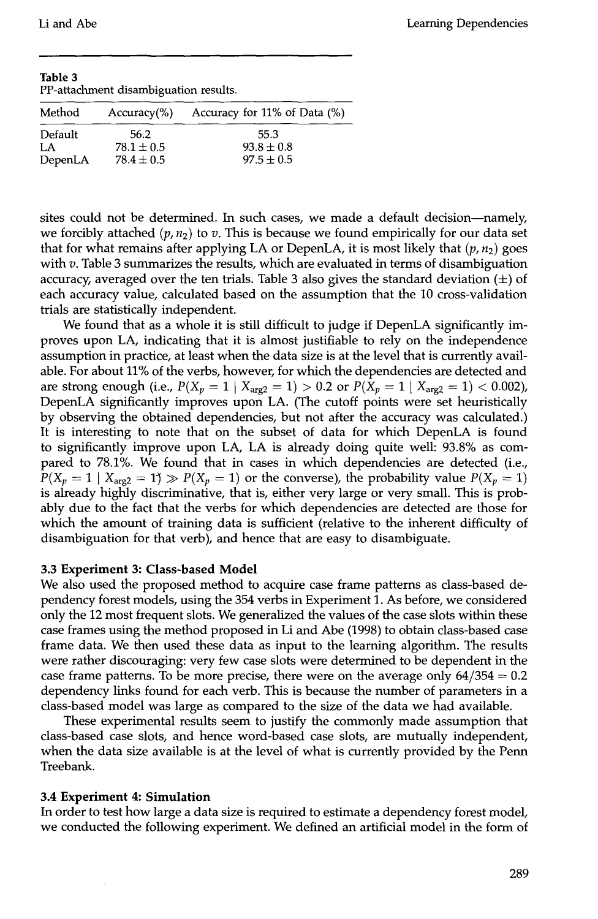**Table 3**  PP-attachment disambiguation results.

| Method  | $Accuracy$ %)  | Accuracy for 11% of Data (%) |
|---------|----------------|------------------------------|
| Default | 56.2           | 55.3                         |
| LA      | $78.1 \pm 0.5$ | $93.8 \pm 0.8$               |
| DepenLA | $78.4 \pm 0.5$ | $97.5 \pm 0.5$               |

sites could not be determined. In such cases, we made a default decision--namely, we forcibly attached  $(p, n_2)$  to v. This is because we found empirically for our data set that for what remains after applying LA or DepenLA, it is most likely that  $(p, n_2)$  goes with  $v$ . Table 3 summarizes the results, which are evaluated in terms of disambiguation accuracy, averaged over the ten trials. Table 3 also gives the standard deviation  $(\pm)$  of each accuracy value, calculated based on the assumption that the 10 cross-validation trials are statistically independent.

We found that as a whole it is still difficult to judge if DepenLA significantly improves upon LA, indicating that it is almost justifiable to rely on the independence assumption in practice, at least when the data size is at the level that is currently available. For about 11% of the verbs, however, for which the dependencies are detected and are strong enough (i.e.,  $P(X_p = 1 | X_{\text{arg2}} = 1) > 0.2$  or  $P(X_p = 1 | X_{\text{arg2}} = 1) < 0.002$ ), DepenLA significantly improves upon LA. (The cutoff points were set heuristically by observing the obtained dependencies, but not after the accuracy was calculated.) It is interesting to note that on the subset of data for which DepenLA is found to significantly improve upon LA, LA is already doing quite well: 93.8% as compared to 78.1%. We found that in cases in which dependencies are detected (i.e.,  $P(X_p = 1 | X_{\text{area}} = 1) \gg P(X_p = 1)$  or the converse), the probability value  $P(X_p = 1)$ is already highly discriminative, that is, either very large or very small. This is probably due to the fact that the verbs for which dependencies are detected are those for which the amount of training data is sufficient (relative to the inherent difficulty of disambiguation for that verb), and hence that are easy to disambiguate.

#### **3.3 Experiment 3: Class-based Model**

We also used the proposed method to acquire case frame patterns as class-based dependency forest models, using the 354 verbs in Experiment 1. As before, we considered only the 12 most frequent slots. We generalized the values of the case slots within these case frames using the method proposed in Li and Abe (1998) to obtain class-based case frame data. We then used these data as input to the learning algorithm. The results were rather discouraging: very few case slots were determined to be dependent in the case frame patterns. To be more precise, there were on the average only  $64/354 = 0.2$ dependency links found for each verb. This is because the number of parameters in a class-based model was large as compared to the size of the data we had available.

These experimental results seem to justify the commonly made assumption that class-based case slots, and hence word-based case slots, are mutually independent, when the data size available is at the level of what is currently provided by the Penn Treebank.

#### **3.4 Experiment 4: Simulation**

In order to test how large a data size is required to estimate a dependency forest model, we conducted the following experiment. We defined an artificial model in the form of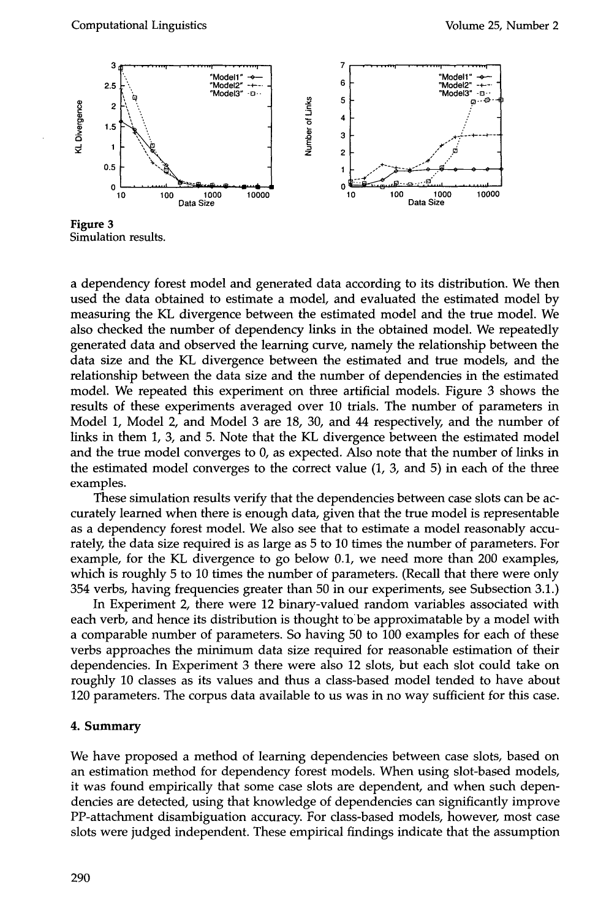

**Figure 3**  Simulation results.

a dependency forest model and generated data according to its distribution. We then used the data obtained to estimate a model, and evaluated the estimated model by measuring the KL divergence between the estimated model and the true model. We also checked the number of dependency links in the obtained model. We repeatedly generated data and observed the learning curve, namely the relationship between the data size and the KL divergence between the estimated and true models, and the relationship between the data size and the number of dependencies in the estimated model. We repeated this experiment on three artificial models. Figure 3 shows the results of these experiments averaged over 10 trials. The number of parameters in Model 1, Model 2, and Model 3 are  $18$ ,  $30$ , and  $44$  respectively, and the number of links in them 1, 3, and 5. Note that the KL divergence between the estimated model and the true model converges to 0, as expected. Also note that the number of links in the estimated model converges to the correct value (1, 3, and 5) in each of the three examples.

These simulation results verify that the dependencies between case slots can be accurately learned when there is enough data, given that the true model is representable as a dependency forest model. We also see that to estimate a model reasonably accurately, the data size required is as large as 5 to 10 times the number of parameters. For example, for the KL divergence to go below 0.1, we need more than 200 examples, which is roughly 5 to 10 times the number of parameters. (Recall that there were only 354 verbs, having frequencies greater than 50 in our experiments, see Subsection 3.1.)

In Experiment 2, there were 12 binary-valued random variables associated with each verb, and hence its distribution is thought to be approximatable by a model with a comparable number of parameters. So having 50 to 100 examples for each of these verbs approaches the minimum data size required for reasonable estimation of their dependencies. In Experiment 3 there were also 12 slots, but each slot could take on roughly 10 classes as its values and thus a class-based model tended to have about 120 parameters. The corpus data available to us was in no way sufficient for this case.

#### **4. Summary**

We have proposed a method of learning dependencies between case slots, based on an estimation method for dependency forest models. When using slot-based models, it was found empirically that some case slots are dependent, and when such dependencies are detected, using that knowledge of dependencies can significantly improve PP-attachment disambiguation accuracy. For class-based models, however, most case slots were judged independent. These empirical findings indicate that the assumption